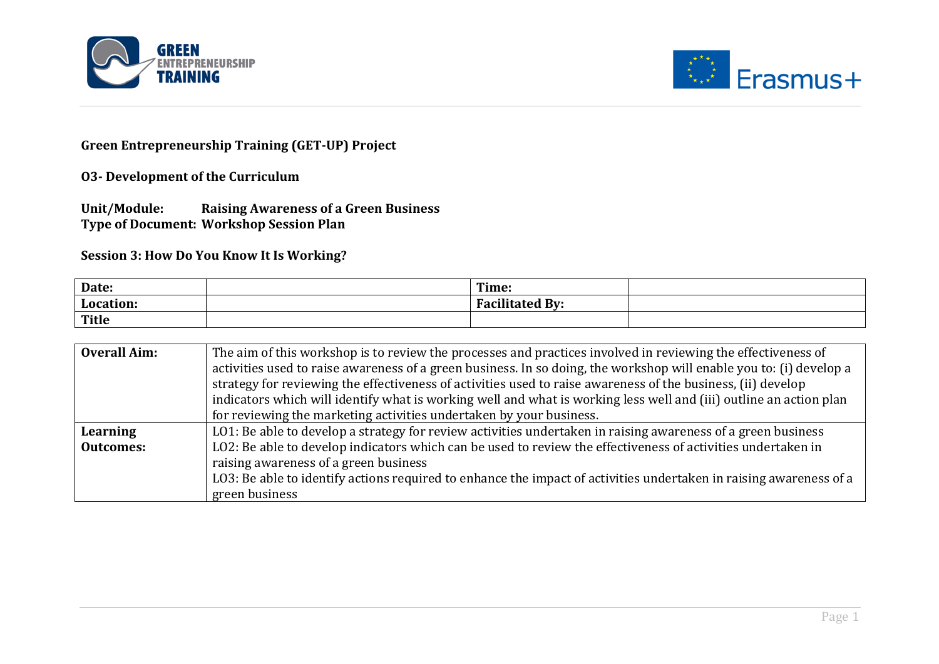



## **Green Entrepreneurship Training (GET-UP) Project**

**O3-** Development of the Curriculum

**Unit/Module: Raising Awareness of a Green Business Type of Document: Workshop Session Plan** 

**Session 3: How Do You Know It Is Working?** 

| Date:        | Time:                                                   |  |
|--------------|---------------------------------------------------------|--|
| Location:    | .<br>$\mathbf{H}$ By:<br>$\Gamma$ <sup>o</sup> $\Omega$ |  |
| <b>Title</b> |                                                         |  |

| <b>Overall Aim:</b> | The aim of this workshop is to review the processes and practices involved in reviewing the effectiveness of        |  |  |  |
|---------------------|---------------------------------------------------------------------------------------------------------------------|--|--|--|
|                     | activities used to raise awareness of a green business. In so doing, the workshop will enable you to: (i) develop a |  |  |  |
|                     | strategy for reviewing the effectiveness of activities used to raise awareness of the business, (ii) develop        |  |  |  |
|                     | indicators which will identify what is working well and what is working less well and (iii) outline an action plan  |  |  |  |
|                     | for reviewing the marketing activities undertaken by your business.                                                 |  |  |  |
| Learning            | LO1: Be able to develop a strategy for review activities undertaken in raising awareness of a green business        |  |  |  |
| <b>Outcomes:</b>    | LO2: Be able to develop indicators which can be used to review the effectiveness of activities undertaken in        |  |  |  |
|                     | raising awareness of a green business                                                                               |  |  |  |
|                     | LO3: Be able to identify actions required to enhance the impact of activities undertaken in raising awareness of a  |  |  |  |
|                     | green business                                                                                                      |  |  |  |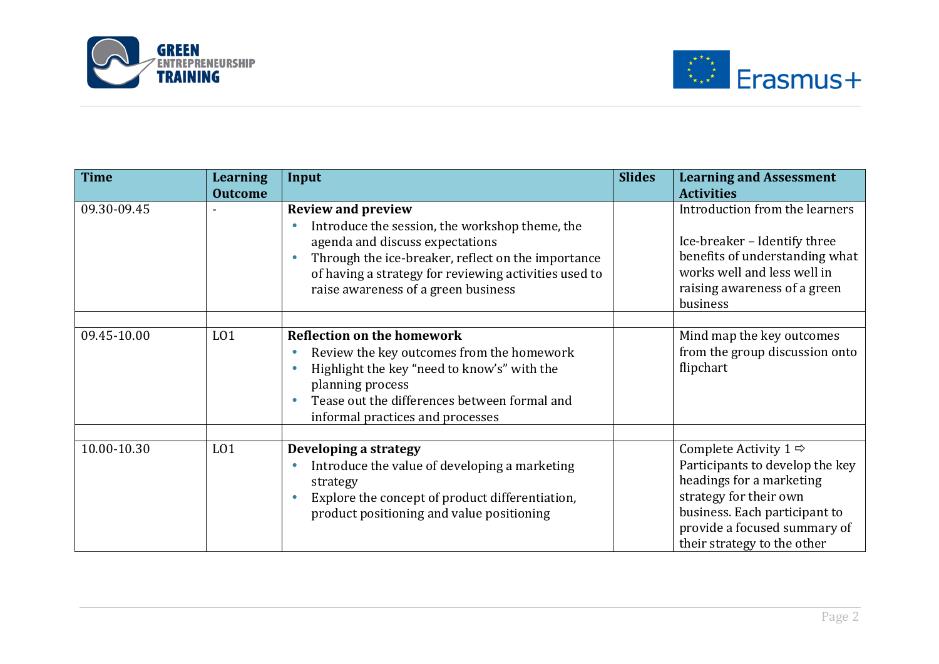



| <b>Time</b> | Learning<br><b>Outcome</b> | Input                                                                                                                                                                                                                                                                | <b>Slides</b> | <b>Learning and Assessment</b><br><b>Activities</b>                                                                                                                                                                        |
|-------------|----------------------------|----------------------------------------------------------------------------------------------------------------------------------------------------------------------------------------------------------------------------------------------------------------------|---------------|----------------------------------------------------------------------------------------------------------------------------------------------------------------------------------------------------------------------------|
| 09.30-09.45 |                            | <b>Review and preview</b><br>Introduce the session, the workshop theme, the<br>agenda and discuss expectations<br>Through the ice-breaker, reflect on the importance<br>of having a strategy for reviewing activities used to<br>raise awareness of a green business |               | Introduction from the learners<br>Ice-breaker - Identify three<br>benefits of understanding what<br>works well and less well in<br>raising awareness of a green<br>business                                                |
|             |                            |                                                                                                                                                                                                                                                                      |               |                                                                                                                                                                                                                            |
| 09.45-10.00 | L <sub>01</sub>            | <b>Reflection on the homework</b><br>Review the key outcomes from the homework<br>Highlight the key "need to know's" with the<br>planning process<br>Tease out the differences between formal and<br>informal practices and processes                                |               | Mind map the key outcomes<br>from the group discussion onto<br>flipchart                                                                                                                                                   |
|             |                            |                                                                                                                                                                                                                                                                      |               |                                                                                                                                                                                                                            |
| 10.00-10.30 | L <sub>01</sub>            | Developing a strategy<br>Introduce the value of developing a marketing<br>strategy<br>Explore the concept of product differentiation,<br>product positioning and value positioning                                                                                   |               | Complete Activity $1 \Rightarrow$<br>Participants to develop the key<br>headings for a marketing<br>strategy for their own<br>business. Each participant to<br>provide a focused summary of<br>their strategy to the other |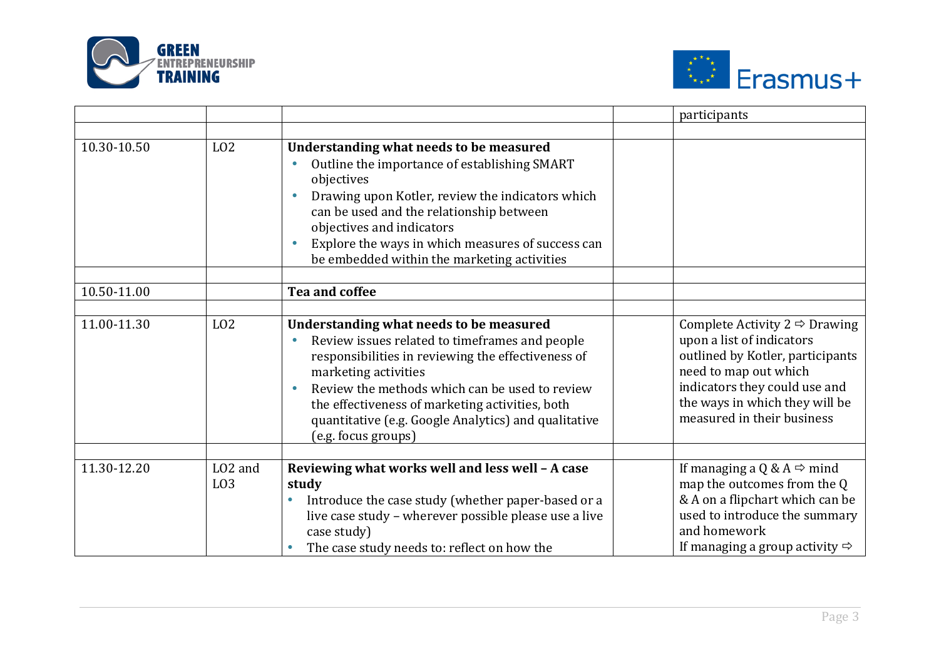



|             |                                        |                                                                                                                                                                                                                                                                                                                                                             | participants                                                                                                                                                                                                                             |
|-------------|----------------------------------------|-------------------------------------------------------------------------------------------------------------------------------------------------------------------------------------------------------------------------------------------------------------------------------------------------------------------------------------------------------------|------------------------------------------------------------------------------------------------------------------------------------------------------------------------------------------------------------------------------------------|
|             |                                        |                                                                                                                                                                                                                                                                                                                                                             |                                                                                                                                                                                                                                          |
| 10.30-10.50 | L <sub>02</sub>                        | Understanding what needs to be measured<br>Outline the importance of establishing SMART<br>objectives<br>Drawing upon Kotler, review the indicators which<br>can be used and the relationship between<br>objectives and indicators<br>Explore the ways in which measures of success can<br>be embedded within the marketing activities                      |                                                                                                                                                                                                                                          |
| 10.50-11.00 |                                        | Tea and coffee                                                                                                                                                                                                                                                                                                                                              |                                                                                                                                                                                                                                          |
|             |                                        |                                                                                                                                                                                                                                                                                                                                                             |                                                                                                                                                                                                                                          |
| 11.00-11.30 | L <sub>02</sub>                        | Understanding what needs to be measured<br>Review issues related to timeframes and people<br>responsibilities in reviewing the effectiveness of<br>marketing activities<br>Review the methods which can be used to review<br>the effectiveness of marketing activities, both<br>quantitative (e.g. Google Analytics) and qualitative<br>(e.g. focus groups) | Complete Activity $2 \Leftrightarrow$ Drawing<br>upon a list of indicators<br>outlined by Kotler, participants<br>need to map out which<br>indicators they could use and<br>the ways in which they will be<br>measured in their business |
| 11.30-12.20 | LO <sub>2</sub> and<br>L <sub>03</sub> | Reviewing what works well and less well - A case<br>study<br>Introduce the case study (whether paper-based or a<br>$\bullet$<br>live case study - wherever possible please use a live<br>case study)<br>The case study needs to: reflect on how the                                                                                                         | If managing a Q & A $\Rightarrow$ mind<br>map the outcomes from the Q<br>& A on a flipchart which can be<br>used to introduce the summary<br>and homework<br>If managing a group activity $\Rightarrow$                                  |